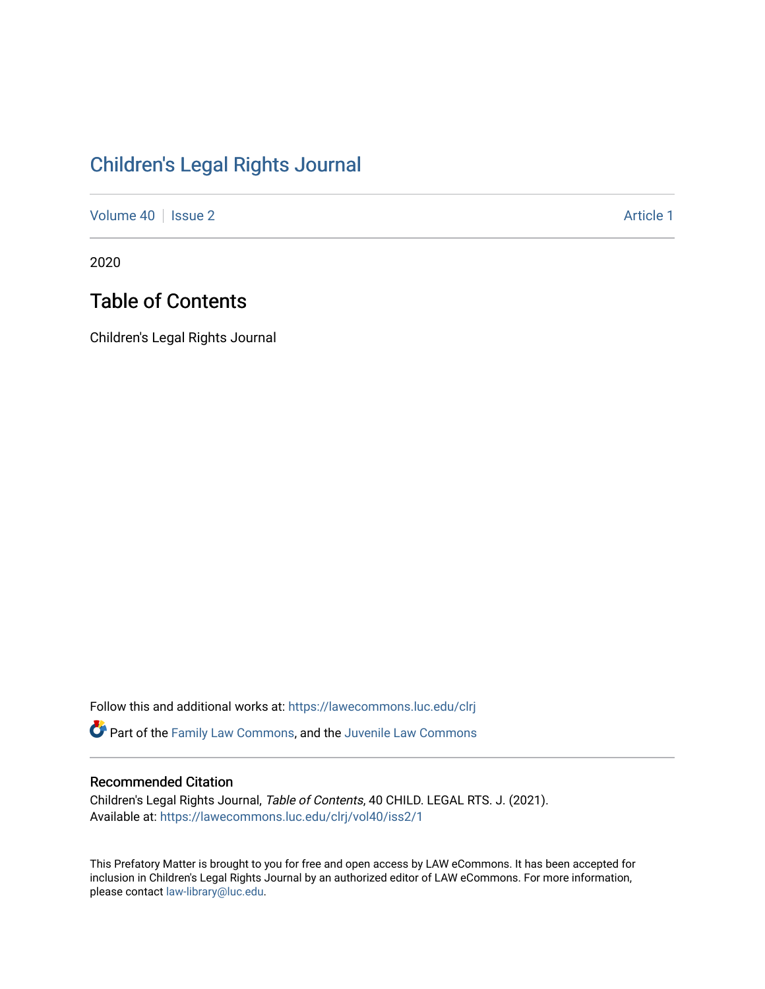## [Children's Legal Rights Journal](https://lawecommons.luc.edu/clrj)

[Volume 40](https://lawecommons.luc.edu/clrj/vol40) | [Issue 2](https://lawecommons.luc.edu/clrj/vol40/iss2) Article 1

2020

## Table of Contents

Children's Legal Rights Journal

Follow this and additional works at: [https://lawecommons.luc.edu/clrj](https://lawecommons.luc.edu/clrj?utm_source=lawecommons.luc.edu%2Fclrj%2Fvol40%2Fiss2%2F1&utm_medium=PDF&utm_campaign=PDFCoverPages)

Part of the [Family Law Commons,](http://network.bepress.com/hgg/discipline/602?utm_source=lawecommons.luc.edu%2Fclrj%2Fvol40%2Fiss2%2F1&utm_medium=PDF&utm_campaign=PDFCoverPages) and the [Juvenile Law Commons](http://network.bepress.com/hgg/discipline/851?utm_source=lawecommons.luc.edu%2Fclrj%2Fvol40%2Fiss2%2F1&utm_medium=PDF&utm_campaign=PDFCoverPages) 

#### Recommended Citation

Children's Legal Rights Journal, Table of Contents, 40 CHILD. LEGAL RTS. J. (2021). Available at: [https://lawecommons.luc.edu/clrj/vol40/iss2/1](https://lawecommons.luc.edu/clrj/vol40/iss2/1?utm_source=lawecommons.luc.edu%2Fclrj%2Fvol40%2Fiss2%2F1&utm_medium=PDF&utm_campaign=PDFCoverPages) 

This Prefatory Matter is brought to you for free and open access by LAW eCommons. It has been accepted for inclusion in Children's Legal Rights Journal by an authorized editor of LAW eCommons. For more information, please contact [law-library@luc.edu](mailto:law-library@luc.edu).